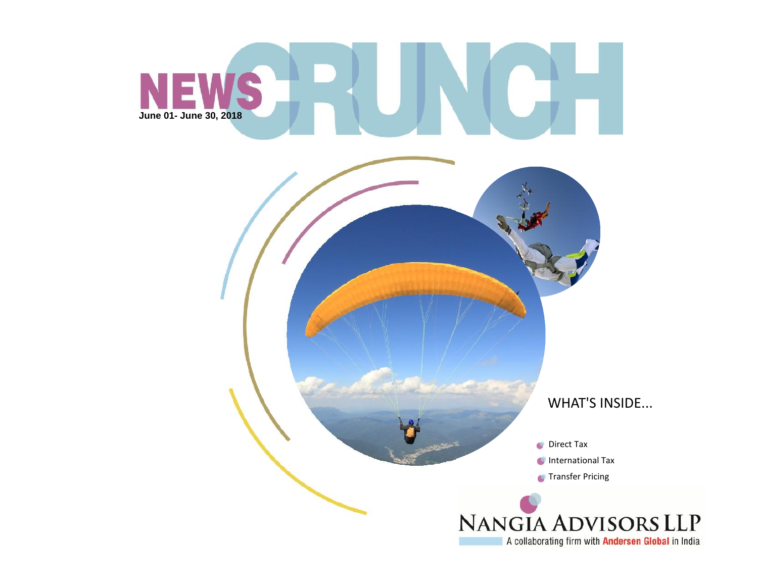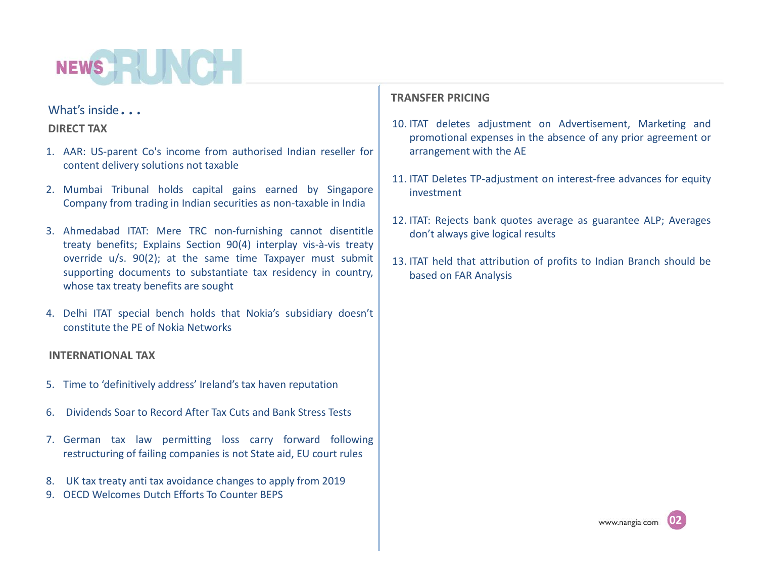## NEWS HOLD

## What's inside*…*

## **DIRECT TAX**

- 1. AAR: US-parent Co's income from authorised Indian reseller for content delivery solutions not taxable
- 2. Mumbai Tribunal holds capital gains earned by Singapore Company from trading in Indian securities as non-taxable in India
- 3. Ahmedabad ITAT: Mere TRC non-furnishing cannot disentitle treaty benefits; Explains Section 90(4) interplay vis-à-vis treaty override u/s. 90(2); at the same time Taxpayer must submit supporting documents to substantiate tax residency in country, whose tax treaty benefits are sought
- 4. Delhi ITAT special bench holds that Nokia's subsidiary doesn't constitute the PE of Nokia Networks

## **INTERNATIONAL TAX**

- 5. Time to 'definitively address' Ireland's tax haven reputation
- 6. Dividends Soar to Record After Tax Cuts and Bank Stress Tests
- 7. German tax law permitting loss carry forward following restructuring of failing companies is not State aid, EU court rules
- 8. UK tax treaty anti tax avoidance changes to apply from 2019
- 9. OECD Welcomes Dutch Efforts To Counter BEPS

## **TRANSFER PRICING**

- 10. ITAT deletes adjustment on Advertisement, Marketing and promotional expenses in the absence of any prior agreement or arrangement with the AE
- 11. ITAT Deletes TP-adjustment on interest-free advances for equity investment
- 12. ITAT: Rejects bank quotes average as guarantee ALP; Averages don't always give logical results
- 13. ITAT held that attribution of profits to Indian Branch should be based on FAR Analysis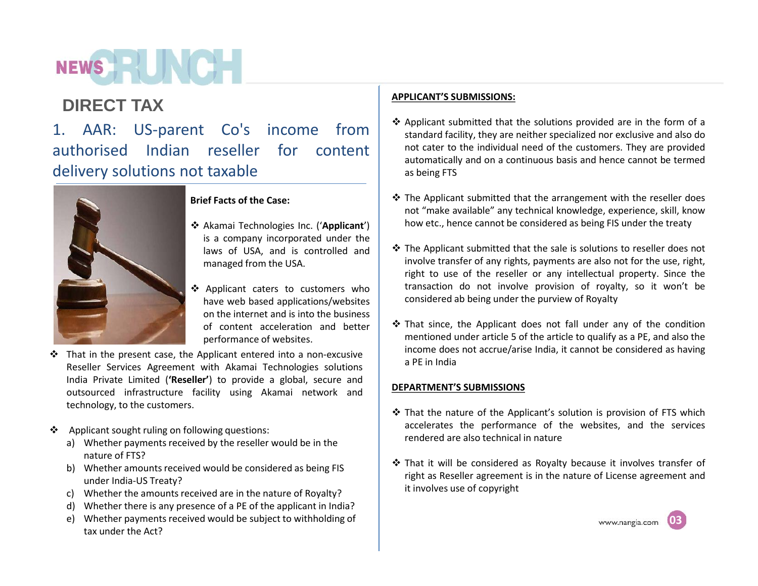## NEWS HALL

## **DIRECT TAX**

1. AAR: US-parent Co's income from authorised Indian reseller for content delivery solutions not taxable



## **Brief Facts of the Case:**

- Akamai Technologies Inc. ('**Applicant**') is a company incorporated under the laws of USA, and is controlled and managed from the USA.
- Applicant caters to customers who have web based applications/websites on the internet and is into the business of content acceleration and better performance of websites.
- $\cdot \cdot$  That in the present case, the Applicant entered into a non-excusive Reseller Services Agreement with Akamai Technologies solutions India Private Limited (**'Reseller'**) to provide a global, secure and outsourced infrastructure facility using Akamai network and technology, to the customers.
- Applicant sought ruling on following questions:
	- a) Whether payments received by the reseller would be in the nature of FTS?
	- b) Whether amounts received would be considered as being FIS under India-US Treaty?
	- c) Whether the amounts received are in the nature of Royalty?
	- d) Whether there is any presence of a PE of the applicant in India?
	- e) Whether payments received would be subject to withholding of tax under the Act?

## **APPLICANT'S SUBMISSIONS:**

- $\triangle$  Applicant submitted that the solutions provided are in the form of a standard facility, they are neither specialized nor exclusive and also do not cater to the individual need of the customers. They are provided automatically and on a continuous basis and hence cannot be termed as being FTS
- $\cdot$  The Applicant submitted that the arrangement with the reseller does not "make available" any technical knowledge, experience, skill, know how etc., hence cannot be considered as being FIS under the treaty
- The Applicant submitted that the sale is solutions to reseller does not involve transfer of any rights, payments are also not for the use, right, right to use of the reseller or any intellectual property. Since the transaction do not involve provision of royalty, so it won't be considered ab being under the purview of Royalty
- $\cdot$  That since, the Applicant does not fall under any of the condition mentioned under article 5 of the article to qualify as a PE, and also the income does not accrue/arise India, it cannot be considered as having a PE in India

## **DEPARTMENT'S SUBMISSIONS**

- $\cdot$  That the nature of the Applicant's solution is provision of FTS which accelerates the performance of the websites, and the services rendered are also technical in nature
- $\cdot$  That it will be considered as Royalty because it involves transfer of right as Reseller agreement is in the nature of License agreement and it involves use of copyright

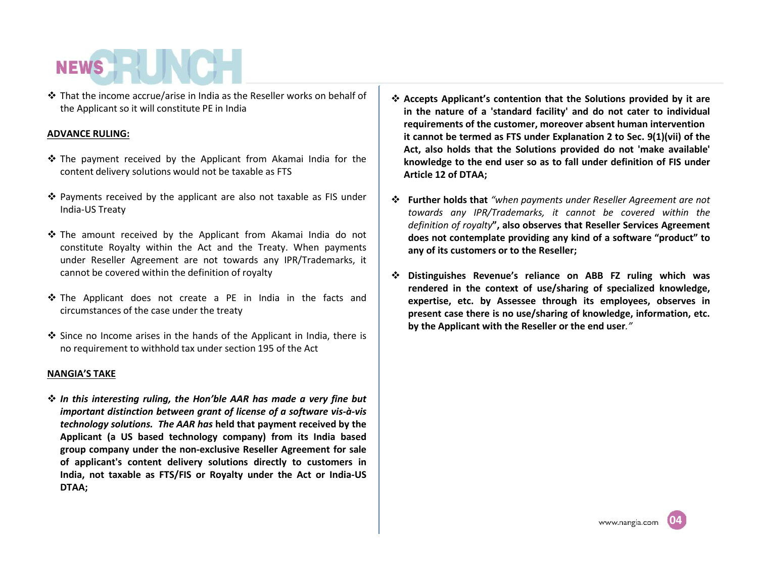That the income accrue/arise in India as the Reseller works on behalf of the Applicant so it will constitute PE in India

## **ADVANCE RULING:**

- \* The payment received by the Applicant from Akamai India for the content delivery solutions would not be taxable as FTS
- Payments received by the applicant are also not taxable as FIS under India-US Treaty
- The amount received by the Applicant from Akamai India do not constitute Royalty within the Act and the Treaty. When payments under Reseller Agreement are not towards any IPR/Trademarks, it cannot be covered within the definition of royalty
- $\clubsuit$  The Applicant does not create a PE in India in the facts and circumstances of the case under the treaty
- $\clubsuit$  Since no Income arises in the hands of the Applicant in India, there is no requirement to withhold tax under section 195 of the Act

#### **NANGIA'S TAKE**

 *In this interesting ruling, the Hon'ble AAR has made a very fine but important distinction between grant of license of a software vis-à-vis technology solutions. The AAR has* **held that payment received by the Applicant (a US based technology company) from its India based group company under the non-exclusive Reseller Agreement for sale of applicant's content delivery solutions directly to customers in India, not taxable as FTS/FIS or Royalty under the Act or India-US DTAA;**

- **AcceptsApplicant's contention that the Solutions provided by it are in the nature of a 'standard facility' and do not cater to individual requirements of the customer, moreover absent human intervention it cannot be termed as FTS under Explanation 2 to Sec. 9(1)(vii) of the Act, also holds that the Solutions provided do not 'make available ' knowledge to the end user so as to fall under definition of FIS under Article 12 of DTAA;**
- **Further holds that** *"when payments under Reseller Agreement are not towards any IPR/Trademarks, it cannot be covered within the definition of royalty***", also observes that Reseller Services Agreement does not contemplate providing any kind of a software "product" to any of its customers or to the Reseller;**
- **Distinguishes Revenue's reliance on ABB FZ ruling which was rendered in the context of use/sharing of specialized knowledge, expertise, etc. by Assessee through its employees, observes in present case there is no use/sharing of knowledge, information, etc. by the Applicant with the Reseller or the end user***."*

**04**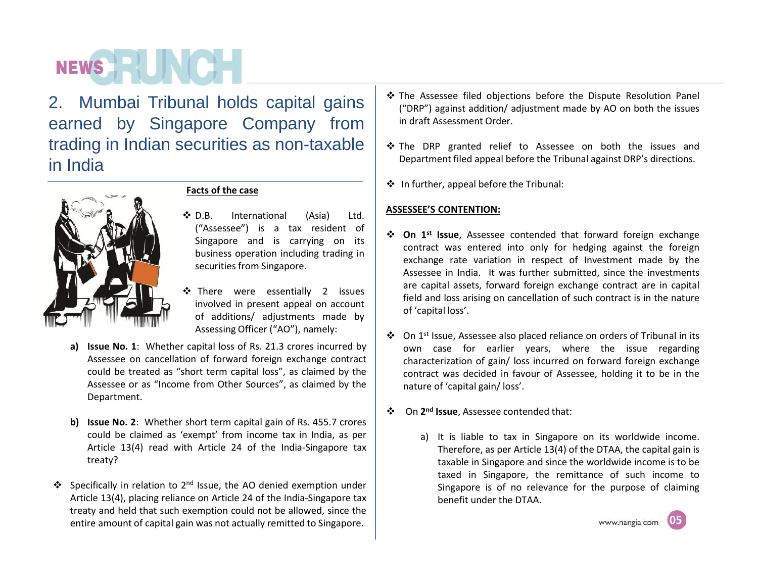# **NEWS HELL**

2. Mumbai Tribunal holds capital gains earned by Singapore Company from trading in Indian securities as non-taxable in India



## **Facts of the case**

- **◆ D.B.** International (Asia) Ltd. ("Assessee") is a tax resident of Singapore and is carrying on its business operation including trading in securities from Singapore.
- **\*** There were essentially 2 issues involved in present appeal on account of additions/ adjustments made by Assessing Officer ("AO"), namely:
- **a) Issue No.1**: Whether capital loss of Rs. 21.3 crores incurred by Assessee on cancellation of forward foreign exchange contract could be treated as "short term capital loss", as claimed by the Assessee or as "Income from Other Sources", as claimed by the Department.
- **b) Issue No.2**: Whether short term capital gain of Rs. 455.7 crores could be claimed as 'exempt' from income tax in India, as per Article 13(4) read with Article 24 of the India-Singapore tax treaty?
- $\cdot \cdot$  Specifically in relation to 2<sup>nd</sup> Issue, the AO denied exemption under  $\vert$ Article 13(4), placing reliance on Article 24 of the India-Singapore tax treaty and held that such exemption could not be allowed, since the entire amount of capital gain was not actually remitted to Singapore.
- \* The Assessee filed objections before the Dispute Resolution Panel ("DRP") against addition/ adjustment made by AO on both the issues in draft Assessment Order.
- The DRP granted relief to Assessee on both the issues and Department filed appeal before the Tribunal against DRP's directions.
- $\div$  In further, appeal before the Tribunal:

## **ASSESSEE'S CONTENTION:**

- **↓ On 1<sup>st</sup> Issue**, Assessee contended that forward foreign exchange contract was entered into only for hedging against the foreign exchange rate variation in respect of Investment made by the Assessee in India. It was further submitted, since the investments are capital assets, forward foreign exchange contract are in capital field and loss arising on cancellation of such contract is in the nature of 'capital loss'.
- ❖ On 1<sup>st</sup> Issue, Assessee also placed reliance on orders of Tribunal in its own case for earlier years, where the issue regarding characterization of gain/ loss incurred on forward foreign exchange contract was decided in favour of Assessee, holding it to be in the nature of 'capital gain/ loss'.
- On **2 nd Issue**, Assessee contended that:
	- a) It is liable to tax in Singapore on its worldwide income. Therefore, as per Article 13(4) of the DTAA, the capital gain is taxable in Singapore and since the worldwide income is to be taxed in Singapore, the remittance of such income to Singapore is of no relevance for the purpose of claiming benefit under the DTAA.

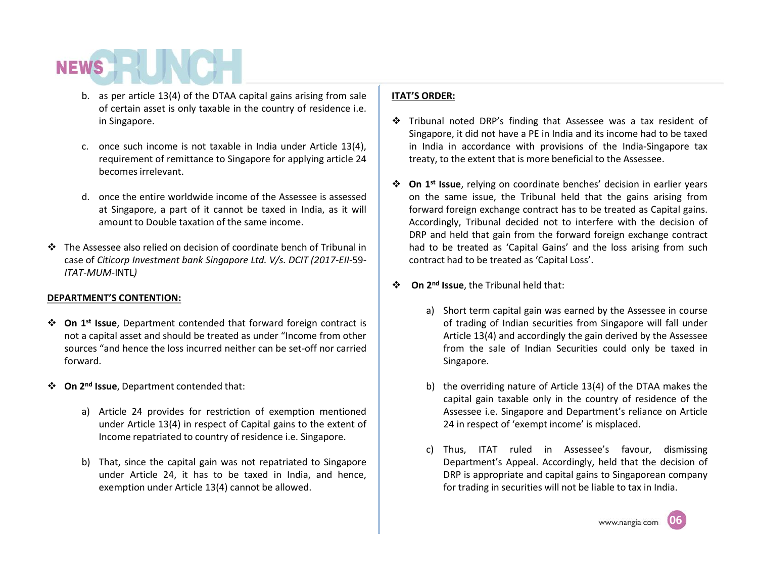- b. as per article 13(4) of the DTAA capital gains arising from sale of certain asset is only taxable in the country of residence i.e. in Singapore.
- c. once such income is not taxable in India under Article 13(4), requirement of remittance to Singapore for applying article 24 becomesirrelevant.
- d. once the entire worldwide income of the Assessee is assessed at Singapore, a part of it cannot be taxed in India, as it will amount to Double taxation of the same income.
- The Assessee also relied on decision of coordinate bench of Tribunal in case of *Citicorp Investment bank Singapore Ltd. V/s. DCIT (2017-EII-*59*- ITAT-MUM-*INTL*)*

## **DEPARTMENT'S CONTENTION:**

- **↓ On 1<sup>st</sup> Issue**, Department contended that forward foreign contract is │ not a capital asset and should be treated as under "Income from other sources "and hence the loss incurred neither can be set-off nor carried forward.
- **On 2 nd Issue**, Department contended that:
	- a) Article 24 provides for restriction of exemption mentioned under Article 13(4) in respect of Capital gains to the extent of Income repatriated to country of residence i.e. Singapore.
	- b) That, since the capital gain was not repatriated to Singapore under Article 24, it has to be taxed in India, and hence, exemption under Article 13(4) cannot be allowed.

## **ITAT'S ORDER:**

- Tribunal noted DRP's finding that Assessee was a tax resident of Singapore, it did not have a PE in India and its income had to be taxed in India in accordance with provisions of the India-Singapore tax treaty, to the extent that is more beneficial to the Assessee.
- **On 1 st Issue**, relying on coordinate benches' decision in earlier years on the same issue, the Tribunal held that the gains arising from forward foreign exchange contract has to be treated as Capital gains. Accordingly, Tribunal decided not to interfere with the decision of DRP and held that gain from the forward foreign exchange contract had to be treated as 'Capital Gains' and the loss arising from such contract had to be treated as 'Capital Loss'.
- **❖** On 2<sup>nd</sup> Issue, the Tribunal held that:
	- a) Short term capital gain was earned by the Assessee in course of trading of Indian securities from Singapore will fall under Article 13(4) and accordingly the gain derived by the Assessee from the sale of Indian Securities could only be taxed in Singapore.
	- b) the overriding nature of Article 13(4) of the DTAA makes the capital gain taxable only in the country of residence of the Assessee i.e. Singapore and Department's reliance on Article 24 in respect of 'exempt income' is misplaced.
	- c) Thus, ITAT ruled in Assessee's favour, dismissing Department's Appeal. Accordingly, held that the decision of DRP is appropriate and capital gains to Singaporean company for trading in securities will not be liable to tax in India.

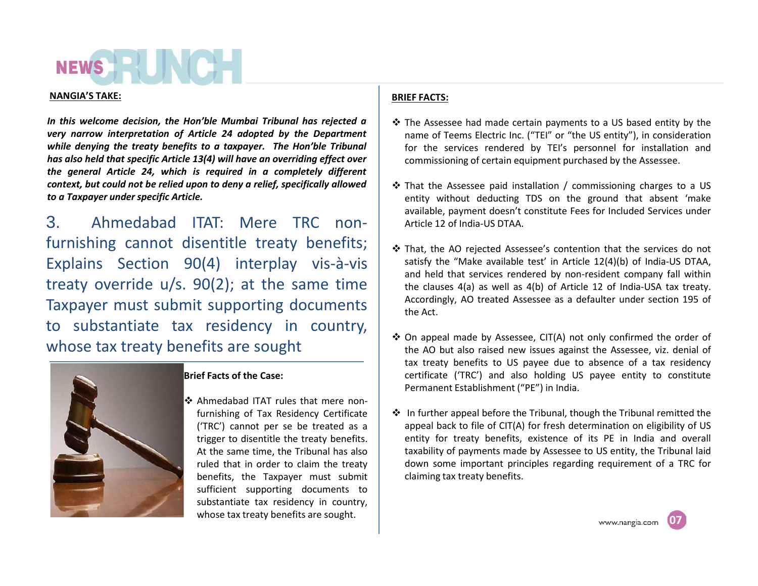#### **NANGIA'S TAKE:**

*In this welcome decision, the Hon'ble Mumbai Tribunal has rejected a very narrow interpretation of Article 24 adopted by the Department while denying the treaty benefits to a taxpayer. The Hon'ble Tribunal has also held that specific Article 13(4) will have an overriding effect over the general Article 24, which is required in a completely different context, but could not be relied upon to deny a relief, specifically allowed to a Taxpayer underspecific Article.*

3. Ahmedabad ITAT: Mere TRC nonfurnishing cannot disentitle treaty benefits; Explains Section 90(4) interplay vis-à-vis treaty override u/s. 90(2); at the same time Taxpayer must submit supporting documents to substantiate tax residency in country, whose tax treaty benefits are sought



### **Brief Facts of the Case:**

❖ Ahmedabad ITAT rules that mere nonfurnishing of Tax Residency Certificate ('TRC') cannot per se be treated as a trigger to disentitle the treaty benefits. At the same time, the Tribunal has also ruled that in order to claim the treaty benefits, the Taxpayer must submit sufficient supporting documents to substantiate tax residency in country, whose tax treaty benefits are sought.

## **BRIEF FACTS:**

- $\cdot$  The Assessee had made certain payments to a US based entity by the name of Teems Electric Inc. ("TEI" or "the US entity"), in consideration for the services rendered by TEI's personnel for installation and commissioning of certain equipment purchased by the Assessee.
- $\cdot$  That the Assessee paid installation / commissioning charges to a US entity without deducting TDS on the ground that absent 'make available, payment doesn't constitute Fees for Included Services under Article 12 of India-US DTAA.
- $\cdot \cdot$  That, the AO rejected Assessee's contention that the services do not satisfy the "Make available test' in Article 12(4)(b) of India-US DTAA, and held that services rendered by non-resident company fall within the clauses 4(a) as well as 4(b) of Article 12 of India-USA tax treaty. Accordingly, AO treated Assessee as a defaulter under section 195 of the Act.
- On appeal made by Assessee, CIT(A) not only confirmed the order of the AO but also raised new issues against the Assessee, viz. denial of tax treaty benefits to US payee due to absence of a tax residency certificate ('TRC') and also holding US payee entity to constitute Permanent Establishment ("PE") in India.
- $\cdot$  In further appeal before the Tribunal, though the Tribunal remitted the appeal back to file of CIT(A) for fresh determination on eligibility of US entity for treaty benefits, existence of its PE in India and overall taxability of payments made by Assessee to US entity, the Tribunal laid down some important principles regarding requirement of a TRC for claiming tax treaty benefits.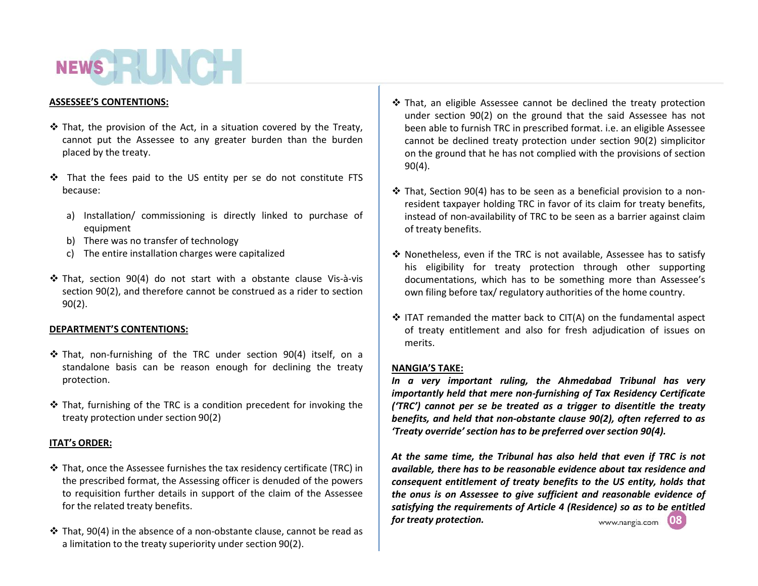## **NEWS HELLIN**

#### **ASSESSEE'S CONTENTIONS:**

- $\triangle$  That, the provision of the Act, in a situation covered by the Treaty, cannot put the Assessee to any greater burden than the burden placed by the treaty.
- That the fees paid to the US entity per se do not constitute FTS because:
	- a) Installation/ commissioning is directly linked to purchase of equipment
	- b) There was no transfer of technology
	- c) The entire installation charges were capitalized
- That, section 90(4) do not start with a obstante clause Vis-à-vis section 90(2), and therefore cannot be construed as a rider to section 90(2).

### **DEPARTMENT'S CONTENTIONS:**

- That, non-furnishing of the TRC under section 90(4) itself, on a standalone basis can be reason enough for declining the treaty protection.
- $\cdot$  That, furnishing of the TRC is a condition precedent for invoking the treaty protection under section 90(2)

### **ITAT's ORDER:**

- That, once the Assessee furnishes the tax residency certificate (TRC) in the prescribed format, the Assessing officer is denuded of the powers to requisition further details in support of the claim of the Assessee for the related treaty benefits.
- $\cdot$  That, 90(4) in the absence of a non-obstante clause, cannot be read as a limitation to the treaty superiority under section 90(2).
- That, an eligible Assessee cannot be declined the treaty protection under section 90(2) on the ground that the said Assessee has not been able to furnish TRC in prescribed format. i.e. an eligible Assessee cannot be declined treaty protection under section 90(2) simplicitor on the ground that he has not complied with the provisions of section 90(4).
- $\cdot$  That, Section 90(4) has to be seen as a beneficial provision to a nonresident taxpayer holding TRC in favor of its claim for treaty benefits, instead of non-availability of TRC to be seen as a barrier against claim of treaty benefits.
- Nonetheless, even if the TRC is not available, Assessee has to satisfy his eligibility for treaty protection through other supporting documentations, which has to be something more than Assessee's own filing before tax/ regulatory authorities of the home country.
- $\div$  ITAT remanded the matter back to CIT(A) on the fundamental aspect of treaty entitlement and also for fresh adjudication of issues on merits.

### **NANGIA'S TAKE:**

*In a very important ruling, the Ahmedabad Tribunal has very importantly held that mere non-furnishing of Tax Residency Certificate ('TRC') cannot per se be treated as a trigger to disentitle the treaty benefits, and held that non-obstante clause 90(2), often referred to as 'Treaty override' section has to be preferred over section 90(4).*

*At the same time, the Tribunal has also held that even if TRC is not available, there has to be reasonable evidence about tax residence and consequent entitlement of treaty benefits to the US entity, holds that the onus is on Assessee to give sufficient and reasonable evidence of satisfying the requirements of Article 4 (Residence) so as to be entitled for treaty protection.***08** www.nangia.com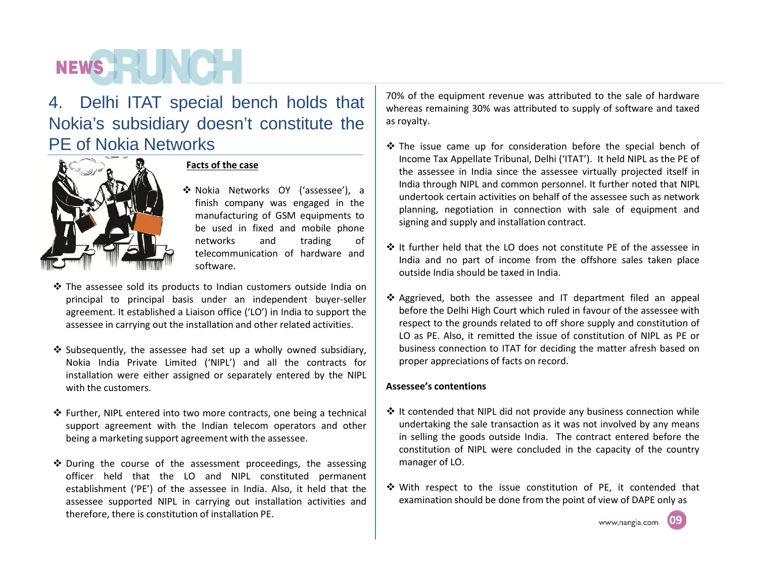## **NEWS HALL**

## 4. Delhi ITAT special bench holds that Nokia's subsidiary doesn't constitute the PE of Nokia Networks



## **Facts of the case**

- Nokia Networks OY ('assessee'), a finish company was engaged in the manufacturing of GSM equipments to be used in fixed and mobile phone networks and trading of telecommunication of hardware and software.
- $\cdot$  The assessee sold its products to Indian customers outside India on principal to principal basis under an independent buyer-seller agreement. It established a Liaison office ('LO') in India to support the assessee in carrying out the installation and other related activities.
- $\cdot$  Subsequently, the assessee had set up a wholly owned subsidiary, Nokia India Private Limited ('NIPL') and all the contracts for installation were either assigned or separately entered by the NIPL with the customers.
- ❖ Further, NIPL entered into two more contracts, one being a technical support agreement with the Indian telecom operators and other being a marketing support agreement with the assessee.
- $\triangle$  During the course of the assessment proceedings, the assessing officer held that the LO and NIPL constituted permanent establishment ('PE') of the assessee in India. Also, it held that the assessee supported NIPL in carrying out installation activities and therefore, there is constitution of installation PE.

70% of the equipment revenue was attributed to the sale of hardware whereas remaining 30% was attributed to supply of software and taxed as royalty.

- $\cdot$  The issue came up for consideration before the special bench of Income Tax Appellate Tribunal, Delhi ('ITAT'). It held NIPL as the PE of the assessee in India since the assessee virtually projected itself in India through NIPL and common personnel. It further noted that NIPL undertook certain activities on behalf of the assessee such as network planning, negotiation in connection with sale of equipment and signing and supply and installation contract.
- $\cdot$  It further held that the LO does not constitute PE of the assessee in India and no part of income from the offshore sales taken place outside India should be taxed in India.
- ❖ Aggrieved, both the assessee and IT department filed an appeal before the Delhi High Court which ruled in favour of the assessee with respect to the grounds related to off shore supply and constitution of LO as PE. Also, it remitted the issue of constitution of NIPL as PE or business connection to ITAT for deciding the matter afresh based on proper appreciations of facts on record.

## **Assessee's contentions**

- $\cdot$  It contended that NIPL did not provide any business connection while undertaking the sale transaction as it was not involved by any means in selling the goods outside India. The contract entered before the constitution of NIPL were concluded in the capacity of the country manager of LO.
- With respect to the issue constitution of PE, it contended that examination should be done from the point of view of DAPE only as

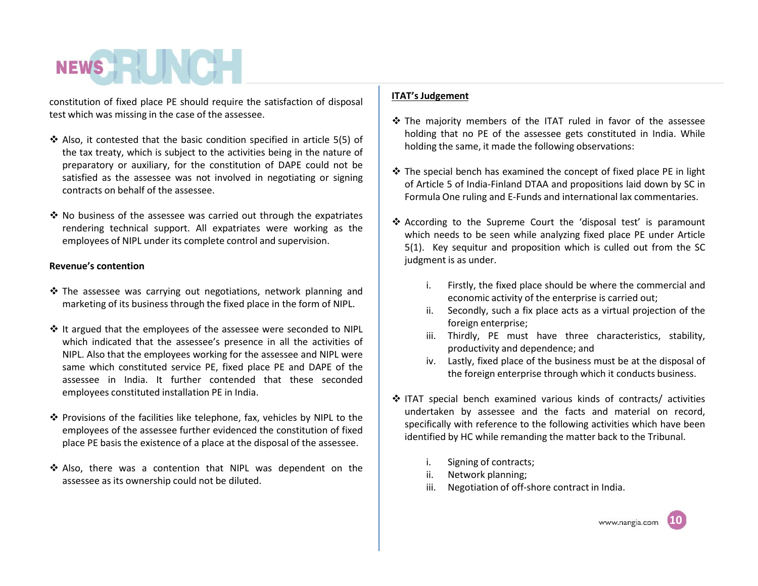constitution of fixed place PE should require the satisfaction of disposal test which was missing in the case of the assessee.

- $\clubsuit$  Also, it contested that the basic condition specified in article 5(5) of the tax treaty, which is subject to the activities being in the nature of preparatory or auxiliary, for the constitution of DAPE could not be satisfied as the assessee was not involved in negotiating or signing contracts on behalf of the assessee.
- $\cdot$  No business of the assessee was carried out through the expatriates rendering technical support. All expatriates were working as the employees of NIPL under its complete control and supervision.

## **Revenue's contention**

- \* The assessee was carrying out negotiations, network planning and marketing of its business through the fixed place in the form of NIPL.
- ❖ It argued that the employees of the assessee were seconded to NIPL which indicated that the assessee's presence in all the activities of NIPL. Also that the employees working for the assessee and NIPL were same which constituted service PE, fixed place PE and DAPE of the assessee in India. It further contended that these seconded employees constituted installation PE in India.
- ❖ Provisions of the facilities like telephone, fax, vehicles by NIPL to the employees of the assessee further evidenced the constitution of fixed place PE basis the existence of a place at the disposal of the assessee.
- Also, there was a contention that NIPL was dependent on the assessee as its ownership could not be diluted.

### **ITAT's Judgement**

- The majority members of the ITAT ruled in favor of the assessee holding that no PE of the assessee gets constituted in India. While holding the same, it made the following observations:
- $\triangle$  The special bench has examined the concept of fixed place PE in light of Article 5 of India-Finland DTAA and propositions laid down by SC in Formula One ruling and E-Funds and international lax commentaries.
- According to the Supreme Court the 'disposal test' is paramount which needs to be seen while analyzing fixed place PE under Article 5(1). Key sequitur and proposition which is culled out from the SC judgment is as under.
	- i. Firstly, the fixed place should be where the commercial and economic activity of the enterprise is carried out;
	- ii. Secondly, such a fix place acts as a virtual projection of the foreign enterprise;
	- iii. Thirdly, PE must have three characteristics, stability, productivity and dependence; and
	- iv. Lastly, fixed place of the business must be at the disposal of the foreign enterprise through which it conducts business.
- ITAT special bench examined various kinds of contracts/ activities undertaken by assessee and the facts and material on record, specifically with reference to the following activities which have been identified by HC while remanding the matter back to the Tribunal.
	- i. Signing of contracts;
	- ii. Network planning;
	- iii. Negotiation of off-shore contract in India.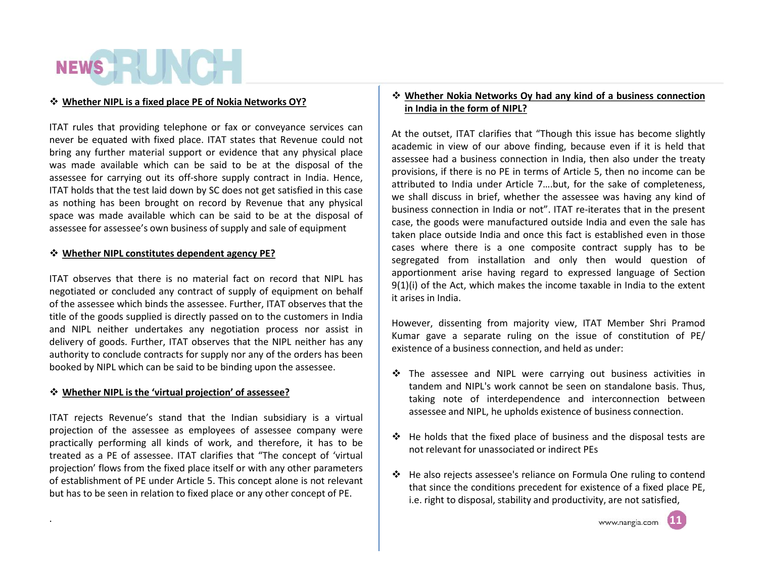### **<sup>☆</sup> Whether NIPL is a fixed place PE of Nokia Networks OY?**

ITAT rules that providing telephone or fax or conveyance services can never be equated with fixed place. ITAT states that Revenue could not bring any further material support or evidence that any physical place was made available which can be said to be at the disposal of the assessee for carrying out its off-shore supply contract in India. Hence, ITAT holds that the test laid down by SC does not get satisfied in this case as nothing has been brought on record by Revenue that any physical space was made available which can be said to be at the disposal of assessee for assessee's own business of supply and sale of equipment

## **WhetherNIPL constitutes dependent agency PE?**

ITAT observes that there is no material fact on record that NIPL has negotiated or concluded any contract of supply of equipment on behalf of the assessee which binds the assessee. Further, ITAT observes that the title of the goods supplied is directly passed on to the customers in India and NIPL neither undertakes any negotiation process nor assist in delivery of goods. Further, ITAT observes that the NIPL neither has any authority to conclude contracts for supply nor any of the orders has been booked by NIPL which can be said to be binding upon the assessee.

## **WhetherNIPL is the 'virtual projection' of assessee?**

.

ITAT rejects Revenue's stand that the Indian subsidiary is a virtual projection of the assessee as employees of assessee company were practically performing all kinds of work, and therefore, it has to be treated as a PE of assessee. ITAT clarifies that "The concept of 'virtual projection' flows from the fixed place itself or with any other parameters of establishment of PE under Article 5. This concept alone is not relevant but has to be seen in relation to fixed place or any other concept of PE.

### **Whether Nokia Networks Oy had any kind of a business connection in India in the form of NIPL?**

At the outset, ITAT clarifies that "Though this issue has become slightly academic in view of our above finding, because even if it is held that assessee had a business connection in India, then also under the treaty provisions, if there is no PE in terms of Article 5, then no income can be attributed to India under Article 7….but, for the sake of completeness, we shall discuss in brief, whether the assessee was having any kind of business connection in India or not". ITAT re-iterates that in the present case, the goods were manufactured outside India and even the sale has taken place outside India and once this fact is established even in those cases where there is a one composite contract supply has to be segregated from installation and only then would question of apportionment arise having regard to expressed language of Section  $9(1)(i)$  of the Act, which makes the income taxable in India to the extent it arises in India.

However, dissenting from majority view, ITAT Member Shri Pramod Kumar gave a separate ruling on the issue of constitution of PE/ existence of a business connection, and held as under:

- The assessee and NIPL were carrying out business activities in tandem and NIPL's work cannot be seen on standalone basis. Thus, taking note of interdependence and interconnection between assessee and NIPL, he upholds existence of business connection.
- $\div$  He holds that the fixed place of business and the disposal tests are not relevant for unassociated or indirect PEs
- He also rejects assessee's reliance on Formula One ruling to contend that since the conditions precedent for existence of a fixed place PE, i.e. right to disposal, stability and productivity, are not satisfied,

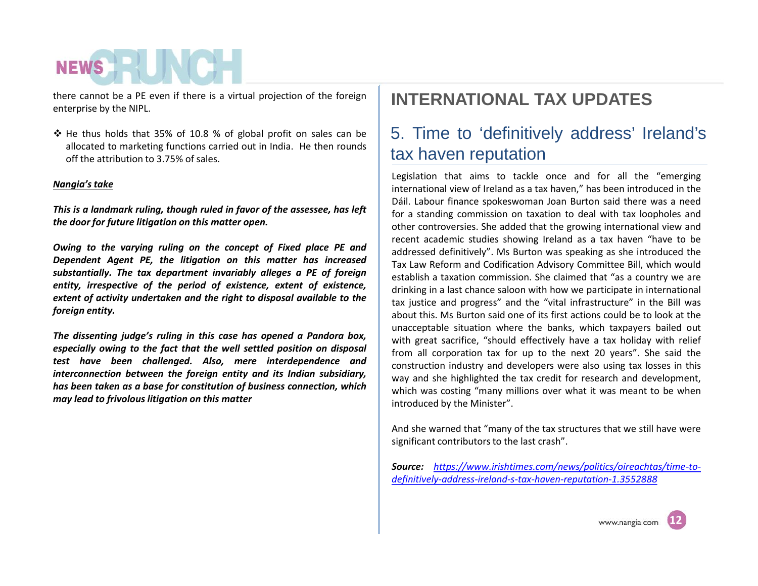there cannot be a PE even if there is a virtual projection of the foreign enterprise by the NIPL.

 $\div$  He thus holds that 35% of 10.8 % of global profit on sales can be allocated to marketing functions carried out in India. He then rounds off the attribution to 3.75% of sales.

### *Nangia's take*

*This is a landmark ruling, though ruled in favor of the assessee, has left the door for future litigation on this matter open.*

*Owing to the varying ruling on the concept of Fixed place PE and Dependent Agent PE, the litigation on this matter has increased substantially. The tax department invariably alleges a PE offoreign entity, irrespective of the period of existence, extent of existence, extent of activity undertaken and the right to disposal available to the foreign entity.*

*The dissenting judge's ruling in this case has opened a Pandora box, especially owing to the fact that the well settled position on disposal test have been challenged. Also, mere interdependence and interconnection between the foreign entity and its Indian subsidiary, has been taken as a base for constitution of business connection, which may lead to frivolouslitigation on this matter*

## **INTERNATIONAL TAX UPDATES**

## 5. Time to 'definitively address' Ireland's tax haven reputation

Legislation that aims to tackle once and for all the "emerging international view of Ireland as a tax haven," has been introduced in the Dáil. Labour finance spokeswoman Joan Burton said there was a need for a standing commission on taxation to deal with tax loopholes and other controversies. She added that the growing international view and recent academic studies showing Ireland as a tax haven "have to be addressed definitively". Ms Burton was speaking as she introduced the Tax Law Reform and Codification Advisory Committee Bill, which would establish a taxation commission. She claimed that "as a country we are drinking in a last chance saloon with how we participate in international tax justice and progress" and the "vital infrastructure" in the Bill was about this. Ms Burton said one of its first actions could be to look at the unacceptable situation where the banks, which taxpayers bailed out with great sacrifice, "should effectively have a tax holiday with relief from all corporation tax for up to the next 20 years". She said the construction industry and developers were also using tax losses in this way and she highlighted the tax credit for research and development, which was costing "many millions over what it was meant to be when introduced by the Minister".

And she warned that "many of the tax structures that we still have were significant contributors to the last crash".

*Source: https://www.irishtimes.com/news/politics/oireachtas/time-to definitively-address-ireland-s-tax-haven-reputation-1.3552888*

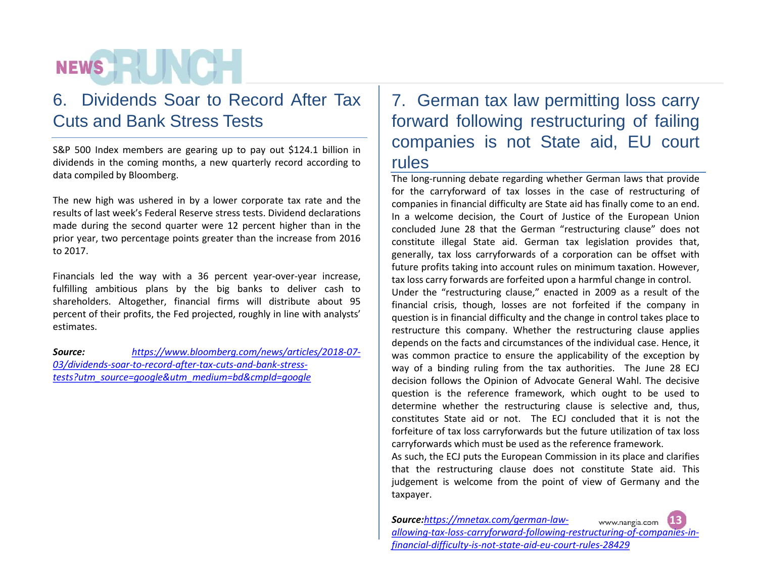## 6. Dividends Soar to Record After Tax Cuts and Bank Stress Tests

S&P 500 Index members are gearing up to pay out \$124.1 billion in dividends in the coming months, a new quarterly record according to data compiled by Bloomberg.

The new high was ushered in by a lower corporate tax rate and the results of last week's Federal Reserve stress tests. Dividend declarations made during the second quarter were 12 percent higher than in the prior year, two percentage points greater than the increase from 2016 to 2017.

Financials led the way with a 36 percent year-over-year increase, fulfilling ambitious plans by the big banks to deliver cash to shareholders. Altogether, financial firms will distribute about 95 percent of their profits, the Fed projected, roughly in line with analysts' estimates.

*Source: https://www.bloomberg.com/news/articles/2018-07- 03/dividends-soar-to-record-after-tax-cuts-and-bank-stress tests?utm\_source=google&utm\_medium=bd&cmpId=google*

## 7. German tax law permitting loss carry forward following restructuring of failing companies is not State aid, EU court rules

The long-running debate regarding whether German laws that provide for the carryforward of tax losses in the case of restructuring of companies in financial difficulty are State aid has finally come to an end. In a welcome decision, the Court of Justice of the European Union concluded June 28 that the German "restructuring clause" does not constitute illegal State aid. German tax legislation provides that, generally, tax loss carryforwards of a corporation can be offset with future profits taking into account rules on minimum taxation. However, tax loss carry forwards are forfeited upon a harmful change in control. Under the "restructuring clause," enacted in 2009 as a result of the financial crisis, though, losses are not forfeited if the company in question is in financial difficulty and the change in control takes place to restructure this company. Whether the restructuring clause applies depends on the facts and circumstances of the individual case. Hence, it was common practice to ensure the applicability of the exception by way of a binding ruling from the tax authorities. The June 28 ECJ decision follows the Opinion of Advocate General Wahl. The decisive question is the reference framework, which ought to be used to determine whether the restructuring clause is selective and, thus, constitutes State aid or not. The ECJ concluded that it is not the forfeiture of tax loss carryforwards but the future utilization of tax loss carryforwards which must be used as the reference framework.

As such, the ECJ puts the European Commission in its place and clarifies that the restructuring clause does not constitute State aid. This judgement is welcome from the point of view of Germany and the taxpayer.

*Source:https://mnetax.com/german-law-* **13** www.nangia.com **0505** *allowing-tax-loss-carryforward-following-restructuring-of-companies-infinancial-difficulty-is-not-state-aid-eu-court-rules-28429*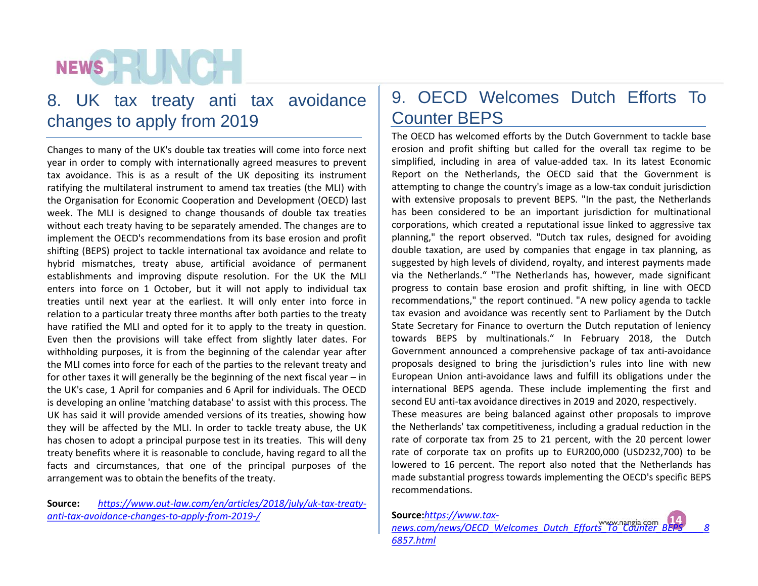## 8. UK tax treaty anti tax avoidance changes to apply from 2019

Changes to many of the UK's double tax treaties will come into force next year in order to comply with internationally agreed measures to prevent tax avoidance. This is as a result of the UK depositing its instrument ratifying the multilateral instrument to amend tax treaties (the MLI) with the Organisation for Economic Cooperation and Development (OECD) last week. The MLI is designed to change thousands of double tax treaties without each treaty having to be separately amended. The changes are to implement the OECD's recommendations from its base erosion and profit shifting (BEPS) project to tackle international tax avoidance and relate to hybrid mismatches, treaty abuse, artificial avoidance of permanent establishments and improving dispute resolution. For the UK the MLI enters into force on 1 October, but it will not apply to individual tax treaties until next year at the earliest. It will only enter into force in relation to a particular treaty three months after both parties to the treaty have ratified the MLI and opted for it to apply to the treaty in question. Even then the provisions will take effect from slightly later dates. For withholding purposes, it is from the beginning of the calendar year after the MLIcomes into force for each of the parties to the relevant treaty and for other taxes it will generally be the beginning of the next fiscal year – in the UK's case, 1 April for companies and 6 April for individuals. The OECD is developing an online 'matching database' to assist with this process. The UK has said it will provide amended versions of its treaties, showing how they will be affected by the MLI. In order to tackle treaty abuse, the UK has chosen to adopt a principal purpose test in its treaties. This will deny treaty benefits where it is reasonable to conclude, having regard to all the facts and circumstances, that one of the principal purposes of the arrangement was to obtain the benefits of the treaty.

**Source:** *https://www.out-law.com/en/articles/2018/july/uk-tax-treaty anti-tax-avoidance-changes-to-apply-from-2019-/*

## 9. OECD Welcomes Dutch Efforts To Counter BEPS

The OECD has welcomed efforts by the Dutch Government to tackle base erosion and profit shifting but called for the overall tax regime to be simplified, including in area of value-added tax. In its latest Economic Report on the Netherlands, the OECD said that the Government is attempting to change the country's image as a low-tax conduit jurisdiction with extensive proposals to prevent BEPS. "In the past, the Netherlands has been considered to be an important jurisdiction for multinational corporations, which created a reputational issue linked to aggressive tax planning," the report observed. "Dutch tax rules, designed for avoiding double taxation, are used by companies that engage in tax planning, as suggested by high levels of dividend, royalty, and interest payments made via the Netherlands." "The Netherlands has, however, made significant progress to contain base erosion and profit shifting, in line with OECD recommendations," the report continued. "A new policy agenda to tackle tax evasion and avoidance was recently sent to Parliament by the Dutch State Secretary for Finance to overturn the Dutch reputation of leniency towards BEPS by multinationals." In February 2018, the Dutch Government announced a comprehensive package of tax anti-avoidance proposals designed to bring the jurisdiction's rules into line with new European Union anti-avoidance laws and fulfill its obligations under the international BEPS agenda. These include implementing the first and second EU anti-tax avoidance directives in 2019 and 2020, respectively. These measures are being balanced against other proposals to improve the Netherlands' tax competitiveness, including a gradual reduction in the rate of corporate tax from 25 to 21 percent, with the 20 percent lower rate of corporate tax on profits up to EUR200,000 (USD232,700) to be lowered to 16 percent. The report also noted that the Netherlands has made substantial progress towards implementing the OECD's specific BEPS recommendations.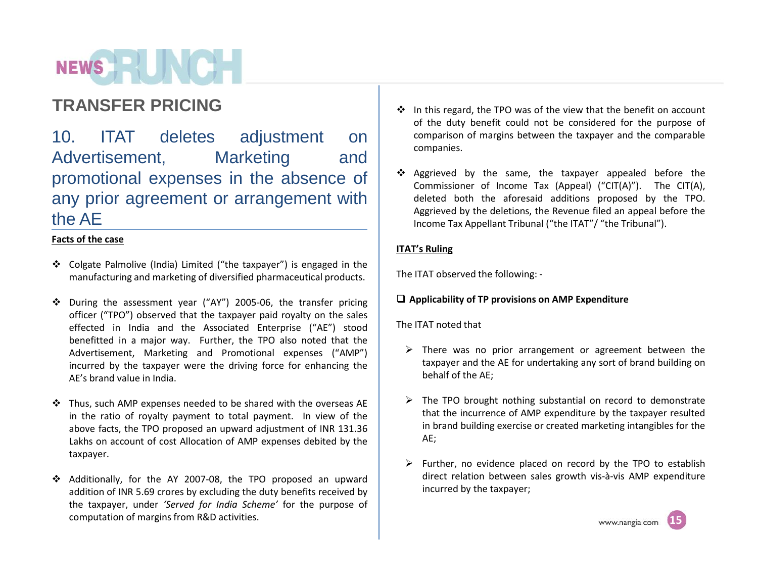10. ITAT deletes adjustment on Advertisement, Marketing and promotional expenses in the absence of any prior agreement or arrangement with the AE

## **Facts of the case**

- Colgate Palmolive (India) Limited ("the taxpayer") is engaged in the manufacturing and marketing of diversified pharmaceutical products.
- During the assessment year ("AY") 2005-06, the transfer pricing officer ("TPO") observed that the taxpayer paid royalty on the sales effected in India and the Associated Enterprise ("AE") stood benefitted in a major way. Further, the TPO also noted that the Advertisement, Marketing and Promotional expenses ("AMP") incurred by the taxpayer were the driving force for enhancing the AE's brand value in India.
- Thus, such AMP expenses needed to be shared with the overseas AE in the ratio of royalty payment to total payment. In view of the above facts, the TPO proposed an upward adjustment of INR 131.36 Lakhs on account of cost Allocation of AMP expenses debited by the taxpayer.
- Additionally, for the AY 2007-08, the TPO proposed an upward addition of INR 5.69 crores by excluding the duty benefits received by the taxpayer, under *'Served for India Scheme'* for the purpose of computation of margins from R&D activities.
- **TRANSFER PRICING** of the duty benefit could not be considered for the purpose of comparison of margins between the taxpayer and the comparable companies.
	- \* Aggrieved by the same, the taxpayer appealed before the Commissioner of Income Tax (Appeal) ("CIT(A)"). The CIT(A), deleted both the aforesaid additions proposed by the TPO. Aggrieved by the deletions, the Revenue filed an appeal before the Income Tax Appellant Tribunal ("the ITAT"/ "the Tribunal").

## **ITAT's Ruling**

The ITAT observed the following: -

## **Applicability of TP provisions on AMP Expenditure**

## The ITAT noted that

- $\triangleright$  There was no prior arrangement or agreement between the taxpayer and the AE for undertaking any sort of brand building on behalf of the AE;
- $\triangleright$  The TPO brought nothing substantial on record to demonstrate that the incurrence of AMP expenditure by the taxpayer resulted in brand building exercise or created marketing intangibles for the AE;
- $\triangleright$  Further, no evidence placed on record by the TPO to establish direct relation between sales growth vis-à-vis AMP expenditure incurred by the taxpayer;

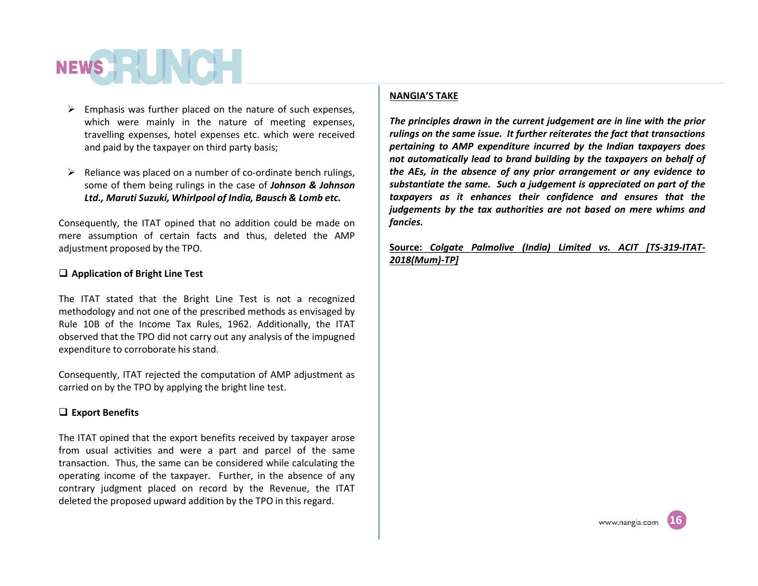- $\triangleright$  Emphasis was further placed on the nature of such expenses, which were mainly in the nature of meeting expenses, travelling expenses, hotel expenses etc. which were received and paid by the taxpayer on third party basis;
- $\triangleright$  Reliance was placed on a number of co-ordinate bench rulings, some of them being rulings in the case of *Johnson & Johnson Ltd., Maruti Suzuki, Whirlpool of India, Bausch & Lomb etc.*

Consequently, the ITAT opined that no addition could be made on mere assumption of certain facts and thus, deleted the AMP adjustment proposed by the TPO.

### **Application of Bright Line Test**

The ITAT stated that the Bright Line Test is not a recognized methodology and not one of the prescribed methods as envisaged by Rule 10B of the Income Tax Rules, 1962. Additionally, the ITAT observed that the TPO did not carry out any analysis of the impugned expenditure to corroborate his stand.

Consequently, ITAT rejected the computation of AMP adjustment as carried on by the TPO by applying the bright line test.

#### **Export Benefits**

The ITAT opined that the export benefits received by taxpayer arose from usual activities and were a part and parcel of the same transaction. Thus, the same can be considered while calculating the operating income of the taxpayer. Further, in the absence of any contrary judgment placed on record by the Revenue, the ITAT deleted the proposed upward addition by the TPO in this regard.

#### **NANGIA'S TAKE**

*The principles drawn in the current judgement are in line with the prior rulings on the same issue. It further reiterates the fact that transactions pertaining to AMP expenditure incurred by the Indian taxpayers does not automatically lead to brand building by the taxpayers on behalf of the AEs, in the absence of any prior arrangement or any evidence to substantiate the same. Such a judgement is appreciated on part of the taxpayers as it enhances their confidence and ensures that the judgements by the tax authorities are not based on mere whims and fancies.*

**Source:** *Colgate Palmolive (India) Limited vs.ACIT [TS-319-ITAT- 2018(Mum)-TP]*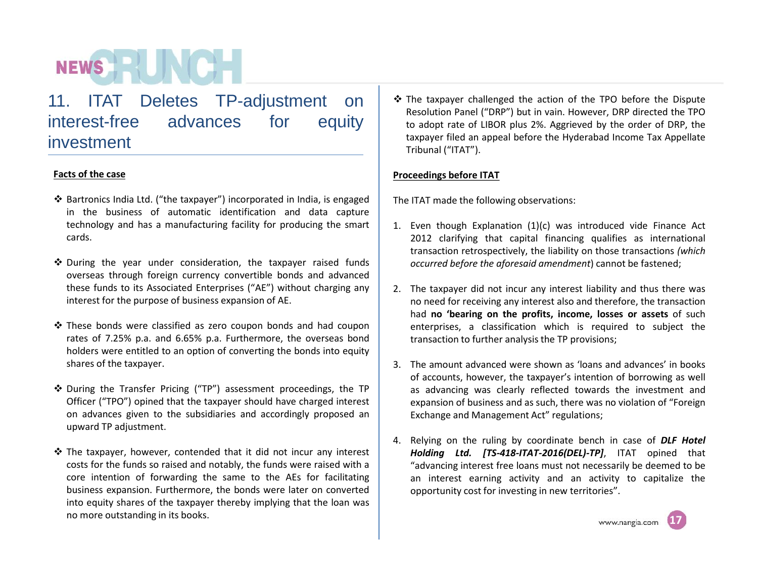11. ITAT Deletes TP-adjustment on interest-free advances for equity investment

## **Facts of the case**

- Bartronics India Ltd. ("the taxpayer") incorporated in India, is engaged in the business of automatic identification and data capture technology and has a manufacturing facility for producing the smart cards.
- $\div$  During the year under consideration, the taxpayer raised funds overseas through foreign currency convertible bonds and advanced these funds to its Associated Enterprises ("AE") without charging any interest for the purpose of business expansion of AE.
- $\cdot$  These bonds were classified as zero coupon bonds and had coupon rates of 7.25% p.a. and 6.65% p.a. Furthermore, the overseas bond holders were entitled to an option of converting the bonds into equity shares of the taxpayer.
- During the Transfer Pricing ("TP") assessment proceedings, the TP Officer ("TPO") opined that the taxpayer should have charged interest on advances given to the subsidiaries and accordingly proposed an upward TP adjustment.
- $\cdot$  The taxpayer, however, contended that it did not incur any interest costs for the funds so raised and notably, the funds were raised with a core intention of forwarding the same to the AEs for facilitating business expansion. Furthermore, the bonds were later on converted into equity shares of the taxpayer thereby implying that the loan was no more outstanding in its books.

 The taxpayer challenged the action of the TPO before the Dispute Resolution Panel ("DRP") but in vain. However, DRP directed the TPO to adopt rate of LIBOR plus 2%. Aggrieved by the order of DRP, the taxpayer filed an appeal before the Hyderabad Income Tax Appellate Tribunal ("ITAT").

## **Proceedings before ITAT**

The ITAT made the following observations:

- 1. Even though Explanation (1)(c) was introduced vide Finance Act 2012 clarifying that capital financing qualifies as international transaction retrospectively, the liability on those transactions *(which occurred before the aforesaid amendment*) cannot be fastened;
- 2. The taxpayer did not incur any interest liability and thus there was no need for receiving any interest also and therefore, the transaction had **no 'bearing on the profits, income, losses or assets** of such enterprises, a classification which is required to subject the transaction to further analysis the TP provisions;
- 3. The amount advanced were shown as 'loans and advances' in books of accounts, however, the taxpayer's intention of borrowing as well as advancing was clearly reflected towards the investment and expansion of business and as such, there was no violation of "Foreign Exchange and Management Act" regulations;
- 4. Relying on the ruling by coordinate bench in case of *DLF Hotel Holding Ltd. [TS-418-ITAT-2016(DEL)-TP]*, ITAT opined that "advancing interest free loans must not necessarily be deemed to be an interest earning activity and an activity to capitalize the opportunity cost for investing in new territories".

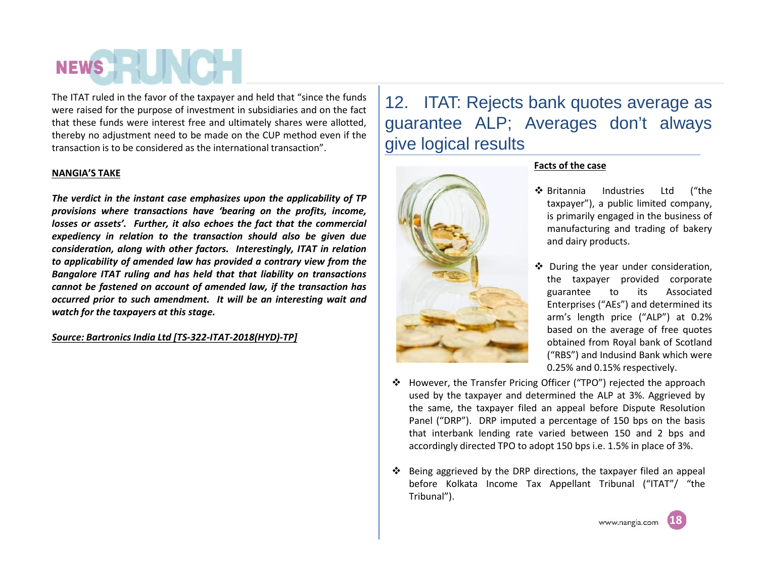The ITAT ruled in the favor of the taxpayer and held that "since the funds were raised for the purpose of investment in subsidiaries and on the fact that these funds were interest free and ultimately shares were allotted, thereby no adjustment need to be made on the CUP method even if the transaction is to be considered as the international transaction".

### **NANGIA'S TAKE**

*The verdict in the instant case emphasizes upon the applicability ofTP provisions where transactions have 'bearing on the profits, income, losses or assets'. Further, it also echoes the fact that the commercial expediency in relation to the transaction should also be given due consideration, along with other factors. Interestingly, ITAT in relation to applicability of amended law has provided a contrary view from the Bangalore ITAT ruling and has held that that liability on transactions cannot be fastened on account of amended law, if the transaction has occurred prior to such amendment. It will be an interesting wait and watch for the taxpayers at this stage.*

### *Source: Bartronics India Ltd [TS-322-ITAT-2018(HYD)-TP]*

12. ITAT: Rejects bank quotes average as guarantee ALP; Averages don't always give logical results



### **Facts of the case**

- Britannia Industries Ltd ("the taxpayer"), a public limited company, is primarily engaged in the business of manufacturing and trading of bakery and dairy products.
- ❖ During the year under consideration, the taxpayer provided corporate guarantee to its Associated Enterprises ("AEs") and determined its arm's length price ("ALP") at 0.2% based on the average of free quotes obtained from Royal bank of Scotland ("RBS") and Indusind Bank which were 0.25% and 0.15% respectively.
- \* However, the Transfer Pricing Officer ("TPO") rejected the approach used by the taxpayer and determined the ALP at 3%. Aggrieved by the same, the taxpayer filed an appeal before Dispute Resolution Panel ("DRP"). DRP imputed a percentage of 150 bps on the basis that interbank lending rate varied between 150 and 2 bps and accordingly directed TPO to adopt 150 bps i.e. 1.5% in place of 3%.
- $\div$  Being aggrieved by the DRP directions, the taxpayer filed an appeal before Kolkata Income Tax Appellant Tribunal ("ITAT"/ "the Tribunal").

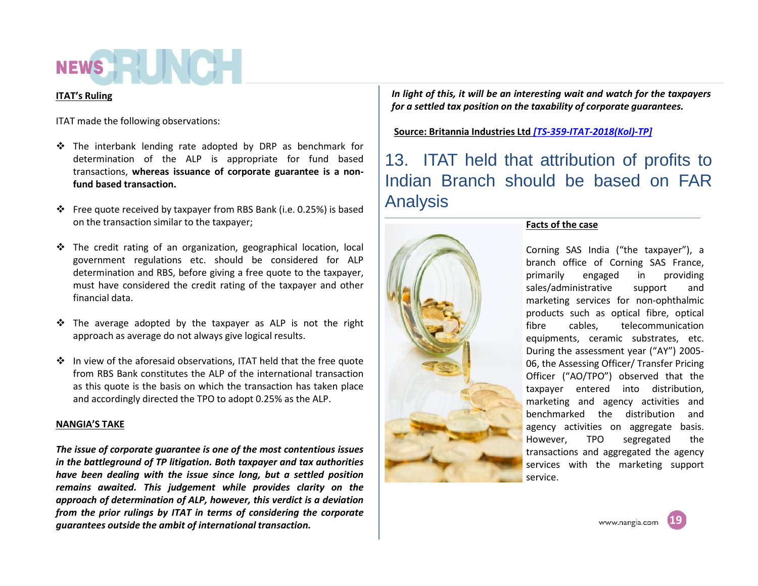## NEWS **AND IN**

### **ITAT's Ruling**

ITAT made the following observations:

- The interbank lending rate adopted by DRP as benchmark for determination of the ALP is appropriate for fund based transactions, **whereas issuance of corporate guarantee is a non fund based transaction.**
- Free quote received by taxpayer from RBS Bank (i.e. 0.25%) is based on the transaction similar to the taxpayer;
- \* The credit rating of an organization, geographical location, local government regulations etc. should be considered for ALP determination and RBS, before giving a free quote to the taxpayer, must have considered the credit rating of the taxpayer and other financial data.
- $\div$  The average adopted by the taxpayer as ALP is not the right approach as average do not always give logical results.
- ❖ In view of the aforesaid observations, ITAT held that the free quote from RBS Bank constitutes the ALP of the international transaction as this quote is the basis on which the transaction has taken place and accordingly directed the TPO to adopt 0.25% as the ALP.

## **NANGIA'S TAKE**

*The issue of corporate guarantee is one of the most contentious issues in the battleground of TP litigation. Both taxpayer and tax authorities have been dealing with the issue since long, but a settled position remains awaited. This judgement while provides clarity on the approach of determination of ALP, however, this verdict is a deviation from the prior rulings by ITAT in terms of considering the corporate guarantees outside the ambit of international transaction.*

*In light of this, it will be an interesting wait and watch for the taxpayers for a settled tax position on the taxability of corporate guarantees.*

**Source: Britannia Industries Ltd** *[TS-359-ITAT-2018(Kol)-TP]*

13. ITAT held that attribution of profits to Indian Branch should be based on FAR Analysis



## **Facts of the case**

Corning SAS India ("the taxpayer"), a branch office of Corning SAS France, primarily engaged in providing sales/administrative support and marketing services for non-ophthalmic products such as optical fibre, optical fibre cables, telecommunication equipments, ceramic substrates, etc. During the assessment year ("AY") 2005- 06, the Assessing Officer/ Transfer Pricing Officer ("AO/TPO") observed that the taxpayer entered into distribution, marketing and agency activities and benchmarked the distribution and agency activities on aggregate basis. However, TPO segregated the transactions and aggregated the agency services with the marketing support service.

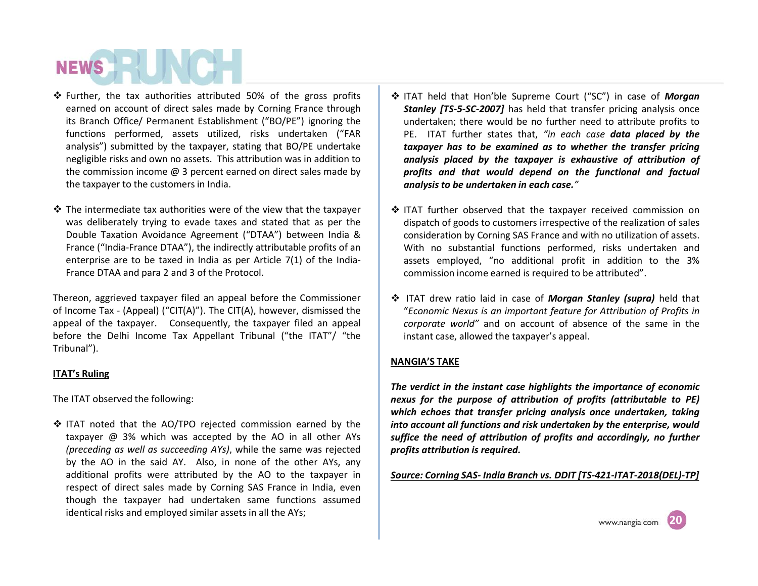- Further, the tax authorities attributed 50% of the gross profits earned on account of direct sales made by Corning France through its Branch Office/ Permanent Establishment ("BO/PE") ignoring the functions performed, assets utilized, risks undertaken ("FAR analysis") submitted by the taxpayer, stating that BO/PE undertake negligible risks and own no assets. This attribution was in addition to the commission income  $@$  3 percent earned on direct sales made by the taxpayer to the customers in India.
- $\triangle$  The intermediate tax authorities were of the view that the taxpayer was deliberately trying to evade taxes and stated that as per the Double Taxation Avoidance Agreement ("DTAA") between India & France ("India-France DTAA"), the indirectly attributable profits of an enterprise are to be taxed in India as per Article 7(1) of the India- France DTAA and para 2 and 3 of the Protocol.

Thereon, aggrieved taxpayer filed an appeal before the Commissioner of Income Tax - (Appeal) ("CIT(A)"). The CIT(A), however, dismissed the appeal of the taxpayer. Consequently, the taxpayer filed an appeal before the Delhi Income Tax Appellant Tribunal ("the ITAT"/ "the Tribunal").

#### **ITAT's Ruling**

The ITAT observed the following:

 $\triangle$  ITAT noted that the AO/TPO rejected commission earned by the taxpayer @ 3% which was accepted by the AO in all other AYs *(preceding as well as succeeding AYs)*, while the same was rejected by the AO in the said AY. Also, in none of the other AYs, any additional profits were attributed by the AO to the taxpayer in respect of direct sales made by Corning SAS France in India, even though the taxpayer had undertaken same functions assumed identical risks and employed similar assets in all the AYs;

- ITAT held that Hon'ble Supreme Court ("SC") in case of *Morgan Stanley [TS-5-SC-2007]* has held that transfer pricing analysis once undertaken; there would be no further need to attribute profits to PE. ITAT further states that, *"in each case data placed by the taxpayer has to be examined as to whether the transfer pricing analysis placed by the taxpayer is exhaustive of attribution of profits and that would depend on the functional and factual analysis to be undertaken in each case."*
- ❖ ITAT further observed that the taxpayer received commission on dispatch of goods to customers irrespective of the realization of sales consideration by Corning SAS France and with no utilization of assets. With no substantial functions performed, risks undertaken and assets employed, "no additional profit in addition to the 3% commission income earned is required to be attributed".
- ITAT drew ratio laid in case of *Morgan Stanley (supra)* held that "*Economic Nexus is an important feature for Attribution of Profits in corporate world"* and on account of absence of the same in the instant case, allowed the taxpayer's appeal.

### **NANGIA'S TAKE**

*The verdict in the instant case highlights the importance of economic nexus* for the purpose of attribution of profits (attributable to PE) *which echoes that transfer pricing analysis once undertaken, taking into account all functions and risk undertaken by the enterprise, would suffice the need of attribution of profits and accordingly, no further profits attribution is required.*

*Source: Corning SAS- India Branch vs. DDIT [TS-421-ITAT-2018(DEL)-TP]*